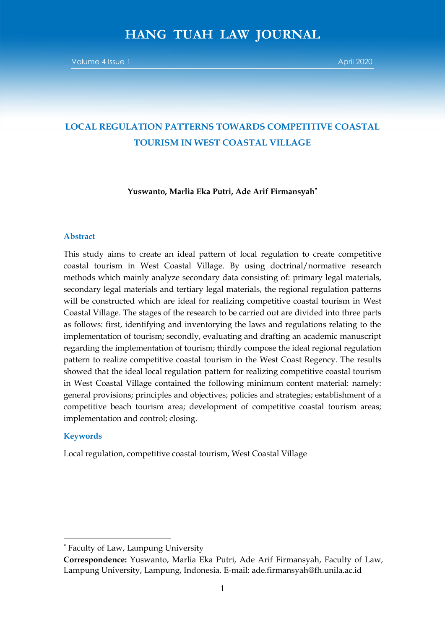# **LOCAL REGULATION PATTERNS TOWARDS COMPETITIVE COASTAL TOURISM IN WEST COASTAL VILLAGE**

**Yuswanto, Marlia Eka Putri, Ade Arif Firmansyah**

#### **Abstract**

This study aims to create an ideal pattern of local regulation to create competitive coastal tourism in West Coastal Village. By using doctrinal/normative research methods which mainly analyze secondary data consisting of: primary legal materials, secondary legal materials and tertiary legal materials, the regional regulation patterns will be constructed which are ideal for realizing competitive coastal tourism in West Coastal Village. The stages of the research to be carried out are divided into three parts as follows: first, identifying and inventorying the laws and regulations relating to the implementation of tourism; secondly, evaluating and drafting an academic manuscript regarding the implementation of tourism; thirdly compose the ideal regional regulation pattern to realize competitive coastal tourism in the West Coast Regency. The results showed that the ideal local regulation pattern for realizing competitive coastal tourism in West Coastal Village contained the following minimum content material: namely: general provisions; principles and objectives; policies and strategies; establishment of a competitive beach tourism area; development of competitive coastal tourism areas; implementation and control; closing.

## **Keywords**

**.** 

Local regulation, competitive coastal tourism, West Coastal Village

Faculty of Law, Lampung University

**Correspondence:** Yuswanto, Marlia Eka Putri, Ade Arif Firmansyah, Faculty of Law, Lampung University, Lampung, Indonesia. E-mail: ade.firmansyah@fh.unila.ac.id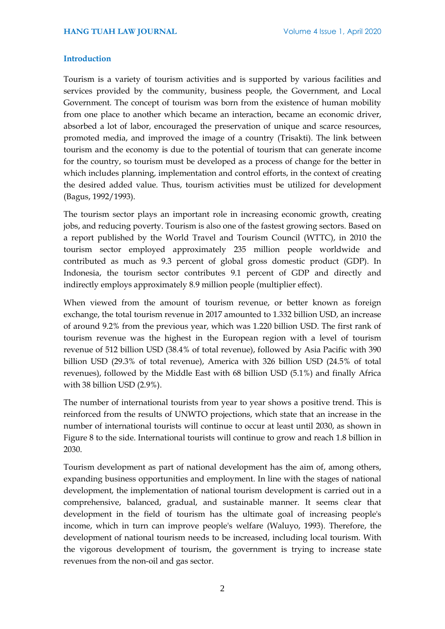## **Introduction**

Tourism is a variety of tourism activities and is supported by various facilities and services provided by the community, business people, the Government, and Local Government. The concept of tourism was born from the existence of human mobility from one place to another which became an interaction, became an economic driver, absorbed a lot of labor, encouraged the preservation of unique and scarce resources, promoted media, and improved the image of a country (Trisakti). The link between tourism and the economy is due to the potential of tourism that can generate income for the country, so tourism must be developed as a process of change for the better in which includes planning, implementation and control efforts, in the context of creating the desired added value. Thus, tourism activities must be utilized for development (Bagus, 1992/1993).

The tourism sector plays an important role in increasing economic growth, creating jobs, and reducing poverty. Tourism is also one of the fastest growing sectors. Based on a report published by the World Travel and Tourism Council (WTTC), in 2010 the tourism sector employed approximately 235 million people worldwide and contributed as much as 9.3 percent of global gross domestic product (GDP). In Indonesia, the tourism sector contributes 9.1 percent of GDP and directly and indirectly employs approximately 8.9 million people (multiplier effect).

When viewed from the amount of tourism revenue, or better known as foreign exchange, the total tourism revenue in 2017 amounted to 1.332 billion USD, an increase of around 9.2% from the previous year, which was 1.220 billion USD. The first rank of tourism revenue was the highest in the European region with a level of tourism revenue of 512 billion USD (38.4% of total revenue), followed by Asia Pacific with 390 billion USD (29.3% of total revenue), America with 326 billion USD (24.5% of total revenues), followed by the Middle East with 68 billion USD (5.1%) and finally Africa with 38 billion USD (2.9%).

The number of international tourists from year to year shows a positive trend. This is reinforced from the results of UNWTO projections, which state that an increase in the number of international tourists will continue to occur at least until 2030, as shown in Figure 8 to the side. International tourists will continue to grow and reach 1.8 billion in 2030.

Tourism development as part of national development has the aim of, among others, expanding business opportunities and employment. In line with the stages of national development, the implementation of national tourism development is carried out in a comprehensive, balanced, gradual, and sustainable manner. It seems clear that development in the field of tourism has the ultimate goal of increasing people's income, which in turn can improve people's welfare (Waluyo, 1993). Therefore, the development of national tourism needs to be increased, including local tourism. With the vigorous development of tourism, the government is trying to increase state revenues from the non-oil and gas sector.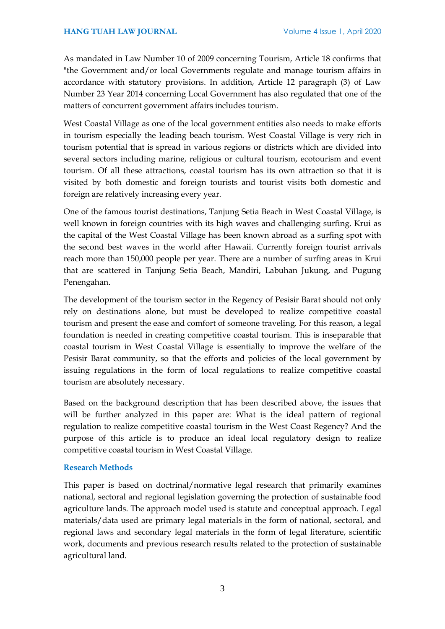As mandated in Law Number 10 of 2009 concerning Tourism, Article 18 confirms that "the Government and/or local Governments regulate and manage tourism affairs in accordance with statutory provisions. In addition, Article 12 paragraph (3) of Law Number 23 Year 2014 concerning Local Government has also regulated that one of the matters of concurrent government affairs includes tourism.

West Coastal Village as one of the local government entities also needs to make efforts in tourism especially the leading beach tourism. West Coastal Village is very rich in tourism potential that is spread in various regions or districts which are divided into several sectors including marine, religious or cultural tourism, ecotourism and event tourism. Of all these attractions, coastal tourism has its own attraction so that it is visited by both domestic and foreign tourists and tourist visits both domestic and foreign are relatively increasing every year.

One of the famous tourist destinations, Tanjung Setia Beach in West Coastal Village, is well known in foreign countries with its high waves and challenging surfing. Krui as the capital of the West Coastal Village has been known abroad as a surfing spot with the second best waves in the world after Hawaii. Currently foreign tourist arrivals reach more than 150,000 people per year. There are a number of surfing areas in Krui that are scattered in Tanjung Setia Beach, Mandiri, Labuhan Jukung, and Pugung Penengahan.

The development of the tourism sector in the Regency of Pesisir Barat should not only rely on destinations alone, but must be developed to realize competitive coastal tourism and present the ease and comfort of someone traveling. For this reason, a legal foundation is needed in creating competitive coastal tourism. This is inseparable that coastal tourism in West Coastal Village is essentially to improve the welfare of the Pesisir Barat community, so that the efforts and policies of the local government by issuing regulations in the form of local regulations to realize competitive coastal tourism are absolutely necessary.

Based on the background description that has been described above, the issues that will be further analyzed in this paper are: What is the ideal pattern of regional regulation to realize competitive coastal tourism in the West Coast Regency? And the purpose of this article is to produce an ideal local regulatory design to realize competitive coastal tourism in West Coastal Village.

# **Research Methods**

This paper is based on doctrinal/normative legal research that primarily examines national, sectoral and regional legislation governing the protection of sustainable food agriculture lands. The approach model used is statute and conceptual approach. Legal materials/data used are primary legal materials in the form of national, sectoral, and regional laws and secondary legal materials in the form of legal literature, scientific work, documents and previous research results related to the protection of sustainable agricultural land.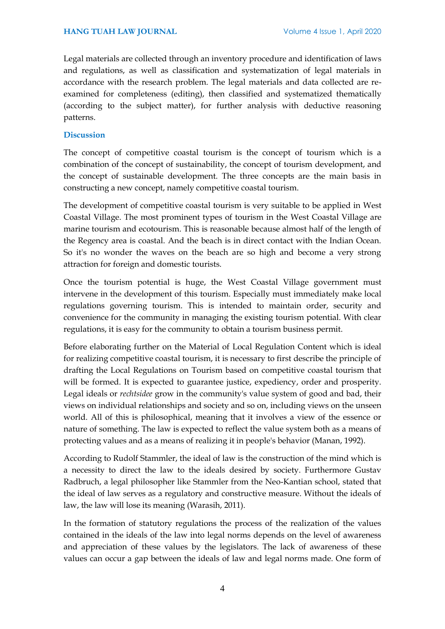Legal materials are collected through an inventory procedure and identification of laws and regulations, as well as classification and systematization of legal materials in accordance with the research problem. The legal materials and data collected are reexamined for completeness (editing), then classified and systematized thematically (according to the subject matter), for further analysis with deductive reasoning patterns.

# **Discussion**

The concept of competitive coastal tourism is the concept of tourism which is a combination of the concept of sustainability, the concept of tourism development, and the concept of sustainable development. The three concepts are the main basis in constructing a new concept, namely competitive coastal tourism.

The development of competitive coastal tourism is very suitable to be applied in West Coastal Village. The most prominent types of tourism in the West Coastal Village are marine tourism and ecotourism. This is reasonable because almost half of the length of the Regency area is coastal. And the beach is in direct contact with the Indian Ocean. So it's no wonder the waves on the beach are so high and become a very strong attraction for foreign and domestic tourists.

Once the tourism potential is huge, the West Coastal Village government must intervene in the development of this tourism. Especially must immediately make local regulations governing tourism. This is intended to maintain order, security and convenience for the community in managing the existing tourism potential. With clear regulations, it is easy for the community to obtain a tourism business permit.

Before elaborating further on the Material of Local Regulation Content which is ideal for realizing competitive coastal tourism, it is necessary to first describe the principle of drafting the Local Regulations on Tourism based on competitive coastal tourism that will be formed. It is expected to guarantee justice, expediency, order and prosperity. Legal ideals or *rechtsidee* grow in the community's value system of good and bad, their views on individual relationships and society and so on, including views on the unseen world. All of this is philosophical, meaning that it involves a view of the essence or nature of something. The law is expected to reflect the value system both as a means of protecting values and as a means of realizing it in people's behavior (Manan, 1992).

According to Rudolf Stammler, the ideal of law is the construction of the mind which is a necessity to direct the law to the ideals desired by society. Furthermore Gustav Radbruch, a legal philosopher like Stammler from the Neo-Kantian school, stated that the ideal of law serves as a regulatory and constructive measure. Without the ideals of law, the law will lose its meaning (Warasih, 2011).

In the formation of statutory regulations the process of the realization of the values contained in the ideals of the law into legal norms depends on the level of awareness and appreciation of these values by the legislators. The lack of awareness of these values can occur a gap between the ideals of law and legal norms made. One form of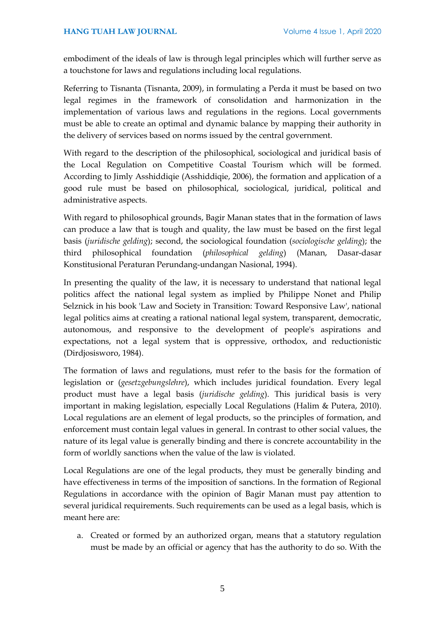embodiment of the ideals of law is through legal principles which will further serve as a touchstone for laws and regulations including local regulations.

Referring to Tisnanta (Tisnanta, 2009), in formulating a Perda it must be based on two legal regimes in the framework of consolidation and harmonization in the implementation of various laws and regulations in the regions. Local governments must be able to create an optimal and dynamic balance by mapping their authority in the delivery of services based on norms issued by the central government.

With regard to the description of the philosophical, sociological and juridical basis of the Local Regulation on Competitive Coastal Tourism which will be formed. According to Jimly Asshiddiqie (Asshiddiqie, 2006), the formation and application of a good rule must be based on philosophical, sociological, juridical, political and administrative aspects.

With regard to philosophical grounds, Bagir Manan states that in the formation of laws can produce a law that is tough and quality, the law must be based on the first legal basis (*juridische gelding*); second, the sociological foundation (*sociologische gelding*); the third philosophical foundation (*philosophical gelding*) (Manan, Dasar-dasar Konstitusional Peraturan Perundang-undangan Nasional, 1994).

In presenting the quality of the law, it is necessary to understand that national legal politics affect the national legal system as implied by Philippe Nonet and Philip Selznick in his book 'Law and Society in Transition: Toward Responsive Law', national legal politics aims at creating a rational national legal system, transparent, democratic, autonomous, and responsive to the development of people's aspirations and expectations, not a legal system that is oppressive, orthodox, and reductionistic (Dirdjosisworo, 1984).

The formation of laws and regulations, must refer to the basis for the formation of legislation or (*gesetzgebungslehre*), which includes juridical foundation. Every legal product must have a legal basis (*juridische gelding*). This juridical basis is very important in making legislation, especially Local Regulations (Halim & Putera, 2010). Local regulations are an element of legal products, so the principles of formation, and enforcement must contain legal values in general. In contrast to other social values, the nature of its legal value is generally binding and there is concrete accountability in the form of worldly sanctions when the value of the law is violated.

Local Regulations are one of the legal products, they must be generally binding and have effectiveness in terms of the imposition of sanctions. In the formation of Regional Regulations in accordance with the opinion of Bagir Manan must pay attention to several juridical requirements. Such requirements can be used as a legal basis, which is meant here are:

a. Created or formed by an authorized organ, means that a statutory regulation must be made by an official or agency that has the authority to do so. With the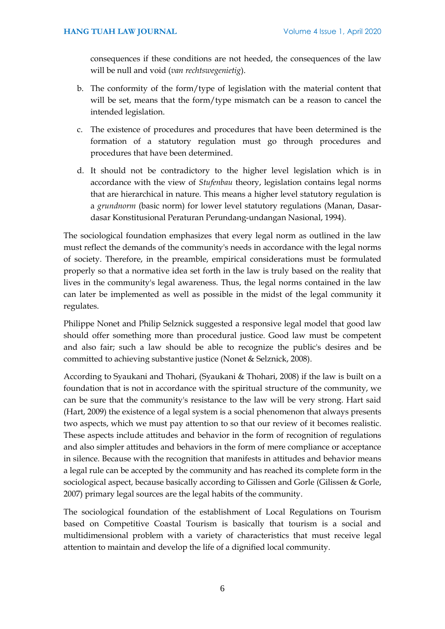consequences if these conditions are not heeded, the consequences of the law will be null and void (*van rechtswegenietig*).

- b. The conformity of the form/type of legislation with the material content that will be set, means that the form/type mismatch can be a reason to cancel the intended legislation.
- c. The existence of procedures and procedures that have been determined is the formation of a statutory regulation must go through procedures and procedures that have been determined.
- d. It should not be contradictory to the higher level legislation which is in accordance with the view of *Stufenbau* theory, legislation contains legal norms that are hierarchical in nature. This means a higher level statutory regulation is a *grundnorm* (basic norm) for lower level statutory regulations (Manan, Dasardasar Konstitusional Peraturan Perundang-undangan Nasional, 1994).

The sociological foundation emphasizes that every legal norm as outlined in the law must reflect the demands of the community's needs in accordance with the legal norms of society. Therefore, in the preamble, empirical considerations must be formulated properly so that a normative idea set forth in the law is truly based on the reality that lives in the community's legal awareness. Thus, the legal norms contained in the law can later be implemented as well as possible in the midst of the legal community it regulates.

Philippe Nonet and Philip Selznick suggested a responsive legal model that good law should offer something more than procedural justice. Good law must be competent and also fair; such a law should be able to recognize the public's desires and be committed to achieving substantive justice (Nonet & Selznick, 2008).

According to Syaukani and Thohari, (Syaukani & Thohari, 2008) if the law is built on a foundation that is not in accordance with the spiritual structure of the community, we can be sure that the community's resistance to the law will be very strong. Hart said (Hart, 2009) the existence of a legal system is a social phenomenon that always presents two aspects, which we must pay attention to so that our review of it becomes realistic. These aspects include attitudes and behavior in the form of recognition of regulations and also simpler attitudes and behaviors in the form of mere compliance or acceptance in silence. Because with the recognition that manifests in attitudes and behavior means a legal rule can be accepted by the community and has reached its complete form in the sociological aspect, because basically according to Gilissen and Gorle (Gilissen & Gorle, 2007) primary legal sources are the legal habits of the community.

The sociological foundation of the establishment of Local Regulations on Tourism based on Competitive Coastal Tourism is basically that tourism is a social and multidimensional problem with a variety of characteristics that must receive legal attention to maintain and develop the life of a dignified local community.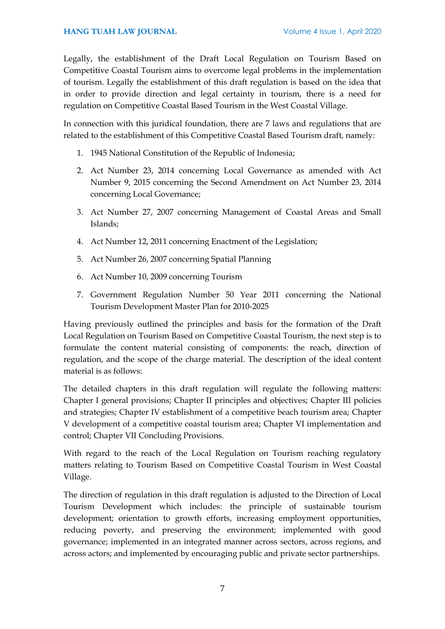Legally, the establishment of the Draft Local Regulation on Tourism Based on Competitive Coastal Tourism aims to overcome legal problems in the implementation of tourism. Legally the establishment of this draft regulation is based on the idea that in order to provide direction and legal certainty in tourism, there is a need for regulation on Competitive Coastal Based Tourism in the West Coastal Village.

In connection with this juridical foundation, there are 7 laws and regulations that are related to the establishment of this Competitive Coastal Based Tourism draft, namely:

- 1. 1945 National Constitution of the Republic of Indonesia;
- 2. Act Number 23, 2014 concerning Local Governance as amended with Act Number 9, 2015 concerning the Second Amendment on Act Number 23, 2014 concerning Local Governance;
- 3. Act Number 27, 2007 concerning Management of Coastal Areas and Small Islands;
- 4. Act Number 12, 2011 concerning Enactment of the Legislation;
- 5. Act Number 26, 2007 concerning Spatial Planning
- 6. Act Number 10, 2009 concerning Tourism
- 7. Government Regulation Number 50 Year 2011 concerning the National Tourism Development Master Plan for 2010-2025

Having previously outlined the principles and basis for the formation of the Draft Local Regulation on Tourism Based on Competitive Coastal Tourism, the next step is to formulate the content material consisting of components: the reach, direction of regulation, and the scope of the charge material. The description of the ideal content material is as follows:

The detailed chapters in this draft regulation will regulate the following matters: Chapter I general provisions; Chapter II principles and objectives; Chapter III policies and strategies; Chapter IV establishment of a competitive beach tourism area; Chapter V development of a competitive coastal tourism area; Chapter VI implementation and control; Chapter VII Concluding Provisions.

With regard to the reach of the Local Regulation on Tourism reaching regulatory matters relating to Tourism Based on Competitive Coastal Tourism in West Coastal Village.

The direction of regulation in this draft regulation is adjusted to the Direction of Local Tourism Development which includes: the principle of sustainable tourism development; orientation to growth efforts, increasing employment opportunities, reducing poverty, and preserving the environment; implemented with good governance; implemented in an integrated manner across sectors, across regions, and across actors; and implemented by encouraging public and private sector partnerships.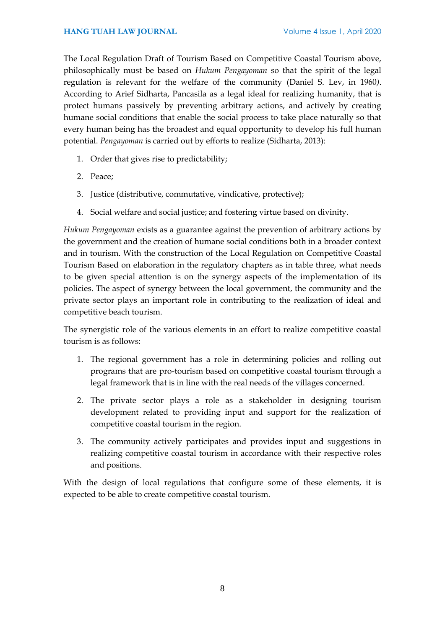# **HANG TUAH LAW JOURNAL** Volume 4 Issue 1, April 2020

The Local Regulation Draft of Tourism Based on Competitive Coastal Tourism above, philosophically must be based on *Hukum Pengayoman* so that the spirit of the legal regulation is relevant for the welfare of the community (Daniel S. Lev, in 1960*)*. According to Arief Sidharta, Pancasila as a legal ideal for realizing humanity, that is protect humans passively by preventing arbitrary actions, and actively by creating humane social conditions that enable the social process to take place naturally so that every human being has the broadest and equal opportunity to develop his full human potential. *Pengayoman* is carried out by efforts to realize (Sidharta, 2013):

- 1. Order that gives rise to predictability;
- 2. Peace;
- 3. Justice (distributive, commutative, vindicative, protective);
- 4. Social welfare and social justice; and fostering virtue based on divinity.

*Hukum Pengayoman* exists as a guarantee against the prevention of arbitrary actions by the government and the creation of humane social conditions both in a broader context and in tourism. With the construction of the Local Regulation on Competitive Coastal Tourism Based on elaboration in the regulatory chapters as in table three, what needs to be given special attention is on the synergy aspects of the implementation of its policies. The aspect of synergy between the local government, the community and the private sector plays an important role in contributing to the realization of ideal and competitive beach tourism.

The synergistic role of the various elements in an effort to realize competitive coastal tourism is as follows:

- 1. The regional government has a role in determining policies and rolling out programs that are pro-tourism based on competitive coastal tourism through a legal framework that is in line with the real needs of the villages concerned.
- 2. The private sector plays a role as a stakeholder in designing tourism development related to providing input and support for the realization of competitive coastal tourism in the region.
- 3. The community actively participates and provides input and suggestions in realizing competitive coastal tourism in accordance with their respective roles and positions.

With the design of local regulations that configure some of these elements, it is expected to be able to create competitive coastal tourism.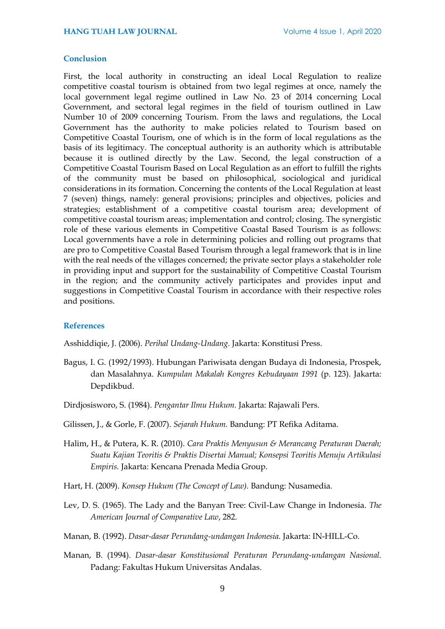## **Conclusion**

First, the local authority in constructing an ideal Local Regulation to realize competitive coastal tourism is obtained from two legal regimes at once, namely the local government legal regime outlined in Law No. 23 of 2014 concerning Local Government, and sectoral legal regimes in the field of tourism outlined in Law Number 10 of 2009 concerning Tourism. From the laws and regulations, the Local Government has the authority to make policies related to Tourism based on Competitive Coastal Tourism, one of which is in the form of local regulations as the basis of its legitimacy. The conceptual authority is an authority which is attributable because it is outlined directly by the Law. Second, the legal construction of a Competitive Coastal Tourism Based on Local Regulation as an effort to fulfill the rights of the community must be based on philosophical, sociological and juridical considerations in its formation. Concerning the contents of the Local Regulation at least 7 (seven) things, namely: general provisions; principles and objectives, policies and strategies; establishment of a competitive coastal tourism area; development of competitive coastal tourism areas; implementation and control; closing. The synergistic role of these various elements in Competitive Coastal Based Tourism is as follows: Local governments have a role in determining policies and rolling out programs that are pro to Competitive Coastal Based Tourism through a legal framework that is in line with the real needs of the villages concerned; the private sector plays a stakeholder role in providing input and support for the sustainability of Competitive Coastal Tourism in the region; and the community actively participates and provides input and suggestions in Competitive Coastal Tourism in accordance with their respective roles and positions.

## **References**

Asshiddiqie, J. (2006). *Perihal Undang-Undang.* Jakarta: Konstitusi Press.

- Bagus, I. G. (1992/1993). Hubungan Pariwisata dengan Budaya di Indonesia, Prospek, dan Masalahnya. *Kumpulan Makalah Kongres Kebudayaan 1991* (p. 123). Jakarta: Depdikbud.
- Dirdjosisworo, S. (1984). *Pengantar Ilmu Hukum.* Jakarta: Rajawali Pers.
- Gilissen, J., & Gorle, F. (2007). *Sejarah Hukum.* Bandung: PT Refika Aditama.
- Halim, H., & Putera, K. R. (2010). *Cara Praktis Menyusun & Merancang Peraturan Daerah; Suatu Kajian Teoritis & Praktis Disertai Manual; Konsepsi Teoritis Menuju Artikulasi Empiris.* Jakarta: Kencana Prenada Media Group.
- Hart, H. (2009). *Konsep Hukum (The Concept of Law).* Bandung: Nusamedia.
- Lev, D. S. (1965). The Lady and the Banyan Tree: Civil-Law Change in Indonesia. *The American Journal of Comparative Law*, 282.
- Manan, B. (1992). *Dasar-dasar Perundang-undangan Indonesia.* Jakarta: IN-HILL-Co.
- Manan, B. (1994). *Dasar-dasar Konstitusional Peraturan Perundang-undangan Nasional.* Padang: Fakultas Hukum Universitas Andalas.